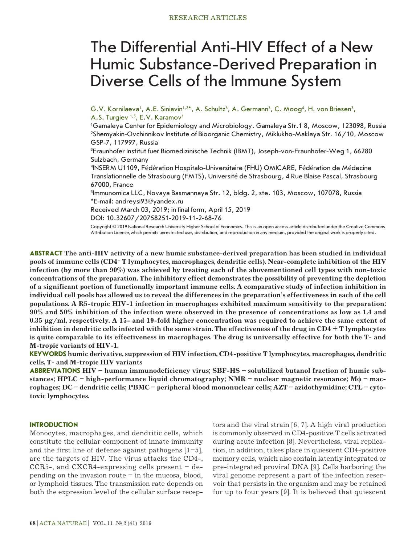# The Differential Anti-HIV Effect of a New Humic Substance-Derived Preparation in Diverse Cells of the Immune System

G.V. Kornilaeva', A.E. Siniavin'<sup>,2\*</sup>, A. Schultz<sup>3</sup>, A. Germann<sup>3</sup>, C. Moog<sup>4</sup>, H. von Briesen<sup>3</sup>, A.S. Turgiev<sup>1,5</sup>, E.V. Karamov<sup>1</sup>

1 Gamaleya Center for Epidemiology and Microbiology. Gamaleya Str.1 8, Moscow, 123098, Russia 2 Shemyakin-Ovchinnikov Institute of Bioorganic Chemistry, Miklukho-Maklaya Str. 16/10, Moscow GSP-7, 117997, Russia

3 Fraunhofer Institut fuer Biomedizinische Technik (IBMT), Joseph-von-Fraunhofer-Weg 1, 66280 Sulzbach, Germany

4 INSERM U1109, Fédération Hospitalo-Universitaire (FHU) OMICARE, Fédération de Médecine Translationnelle de Strasbourg (FMTS), Université de Strasbourg, 4 Rue Blaise Pascal, Strasbourg 67000, France

<sup>5</sup>lmmunomica LLC, Novaya Basmannaya Str. 12, bldg. 2, ste. 103, Moscow, 107078, Russia \*E-mail: andreysi93@yandex.ru

Received March 03, 2019; in final form, April 15, 2019

DOI: 10.32607/20758251-2019-11-2-68-76

Copyright © 2019 National Research University Higher School of Economics. This is an open access article distributed under the Creative Commons Attribution License,which permits unrestricted use, distribution, and reproduction in any medium, provided the original work is properly cited.

**ABSTRACT The anti-HIV activity of a new humic substance-derived preparation has been studied in individual pools of immune cells (CD4+ T lymphocytes, macrophages, dendritic cells). Near-complete inhibition of the HIV infection (by more than 90%) was achieved by treating each of the abovementioned cell types with non-toxic concentrations of the preparation. The inhibitory effect demonstrates the possibility of preventing the depletion of a significant portion of functionally important immune cells. A comparative study of infection inhibition in individual cell pools has allowed us to reveal the differences in the preparation's effectiveness in each of the cell populations. A R5-tropic HIV-1 infection in macrophages exhibited maximum sensitivity to the preparation: 90% and 50% inhibition of the infection were observed in the presence of concentrations as low as 1.4 and 0.35 µg/ml, respectively. A 15- and 19-fold higher concentration was required to achieve the same extent of inhibition in dendritic cells infected with the same strain. The effectiveness of the drug in CD4 + T lymphocytes is quite comparable to its effectiveness in macrophages. The drug is universally effective for both the T- and M-tropic variants of HIV-1.**

**KEYWORDS humic derivative, suppression of HIV infection, CD4-positive T lymphocytes, macrophages, dendritic cells, T- and M-tropic HIV variants**

**ABBREVIATIONS HIV – human immunodeficiency virus; SBF-HS – solubilized butanol fraction of humic substances; HPLC – high-performance liquid chromatography; NMR – nuclear magnetic resonance; Mϕ – macrophages; DC – dendritic cells; PBMC – peripheral blood mononuclear cells; AZT – azidothymidine; CTL – cytotoxic lymphocytes.**

## **INTRODUCTION**

Monocytes, macrophages, and dendritic cells, which constitute the cellular component of innate immunity and the first line of defense against pathogens  $[1-5]$ , are the targets of HIV. The virus attacks the CD4-, CCR5-, and CXCR4-expressing cells present  $-$  depending on the invasion route  $-$  in the mucosa, blood, or lymphoid tissues. The transmission rate depends on both the expression level of the cellular surface receptors and the viral strain [6, 7]. A high viral production is commonly observed in CD4-positive T cells activated during acute infection [8]. Nevertheless, viral replication, in addition, takes place in quiescent CD4-positive memory cells, which also contain latently integrated or pre-integrated proviral DNA [9]. Cells harboring the viral genome represent a part of the infection reservoir that persists in the organism and may be retained for up to four years [9]. It is believed that quiescent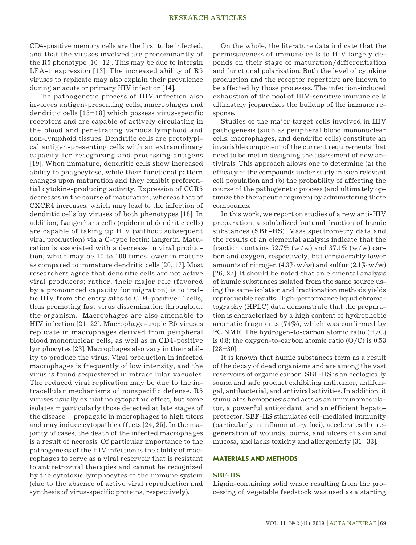CD4-positive memory cells are the first to be infected, and that the viruses involved are predominantly of the R5 phenotype  $[10-12]$ . This may be due to intergin LFA-1 expression [13]. The increased ability of R5 viruses to replicate may also explain their prevalence during an acute or primary HIV infection [14].

The pathogenetic process of HIV infection also involves antigen-presenting cells, macrophages and dendritic cells [15–18] which possess virus-specific receptors and are capable of actively circulating in the blood and penetrating various lymphoid and non-lymphoid tissues. Dendritic cells are prototypical antigen-presenting cells with an extraordinary capacity for recognizing and processing antigens [19]. When immature, dendritic cells show increased ability to phagocytose, while their functional pattern changes upon maturation and they exhibit preferential cytokine-producing activity. Expression of CCR5 decreases in the course of maturation, whereas that of CXCR4 increases, which may lead to the infection of dendritic cells by viruses of both phenotypes [18]. In addition, Langerhans cells (epidermal dendritic cells) are capable of taking up HIV (without subsequent viral production) via a C-type lectin: langerin. Maturation is associated with a decrease in viral production, which may be 10 to 100 times lower in mature as compared to immature dendritic cells [20, 17]. Most researchers agree that dendritic cells are not active viral producers; rather, their major role (favored by a pronounced capacity for migration) is to traffic HIV from the entry sites to CD4-positive T cells, thus promoting fast virus dissemination throughout the organism. Macrophages are also amenable to HIV infection [21, 22]. Macrophage-tropic R5 viruses replicate in macrophages derived from peripheral blood mononuclear cells, as well as in CD4-positive lymphocytes [23]. Macrophages also vary in their ability to produce the virus. Viral production in infected macrophages is frequently of low intensity, and the virus is found sequestered in intracellular vacuoles. The reduced viral replication may be due to the intracellular mechanisms of nonspecific defense. R5 viruses usually exhibit no cytopathic effect, but some isolates – particularly those detected at late stages of the disease – propagate in macrophages to high titers and may induce cytopathic effects [24, 25]. In the majority of cases, the death of the infected macrophages is a result of necrosis. Of particular importance to the pathogenesis of the HIV infection is the ability of macrophages to serve as a viral reservoir that is resistant to antiretroviral therapies and cannot be recognized by the cytotoxic lymphocytes of the immune system (due to the absence of active viral reproduction and synthesis of virus-specific proteins, respectively).

On the whole, the literature data indicate that the permissiveness of immune cells to HIV largely depends on their stage of maturation/differentiation and functional polarization. Both the level of cytokine production and the receptor repertoire are known to be affected by those processes. The infection-induced exhaustion of the pool of HIV-sensitive immune cells ultimately jeopardizes the buildup of the immune response.

Studies of the major target cells involved in HIV pathogenesis (such as peripheral blood mononuclear cells, macrophages, and dendritic cells) constitute an invariable component of the current requirements that need to be met in designing the assessment of new antivirals. This approach allows one to determine (a) the efficacy of the compounds under study in each relevant cell population and (b) the probability of affecting the course of the pathogenetic process (and ultimately optimize the therapeutic regimen) by administering those compounds.

In this work, we report on studies of a new anti-HIV preparation, a solubilized butanol fraction of humic substances (SBF-HS). Mass spectrometry data and the results of an elemental analysis indicate that the fraction contains  $52.7\%$  (w/w) and  $37.1\%$  (w/w) carbon and oxygen, respectively, but considerably lower amounts of nitrogen  $(4.3\% \text{ w/w})$  and sulfur  $(2.1\% \text{ w/w})$ [26, 27]. It should be noted that an elemental analysis of humic substances isolated from the same source using the same isolation and fractionation methods yields reproducible results. High-performance liquid chromatography (HPLC) data demonstrate that the preparation is characterized by a high content of hydrophobic aromatic fragments (74%), which was confirmed by <sup>13</sup>C NMR. The hydrogen-to-carbon atomic ratio  $(H/C)$ is 0.8; the oxygen-to-carbon atomic ratio  $(O/C)$  is 0.53 [28–30].

It is known that humic substances form as a result of the decay of dead organisms and are among the vast reservoirs of organic carbon. SBF-HS is an ecologically sound and safe product exhibiting antitumor, antifungal, antibacterial, and antiviral activities. In addition, it stimulates hemopoiesis and acts as an immunomodulator, a powerful antioxidant, and an efficient hepatoprotector. SBF-HS stimulates cell-mediated immunity (particularly in inflammatory foci), accelerates the regeneration of wounds, burns, and ulcers of skin and mucosa, and lacks toxicity and allergenicity [31–33].

#### **MATERIALS AND METHODS**

#### **SBF-HS**

Lignin-containing solid waste resulting from the processing of vegetable feedstock was used as a starting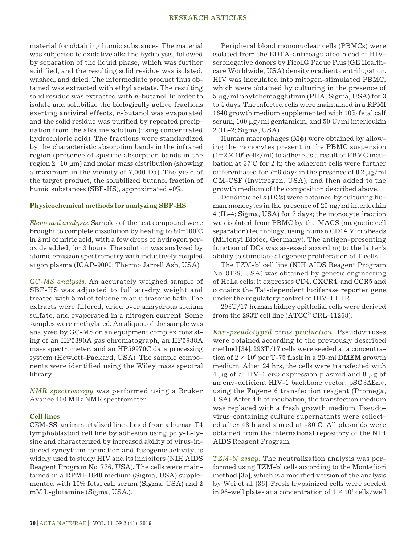material for obtaining humic substances. The material was subjected to oxidative alkaline hydrolysis, followed by separation of the liquid phase, which was further acidified, and the resulting solid residue was isolated, washed, and dried. The intermediate product thus obtained was extracted with ethyl acetate. The resulting solid residue was extracted with *n*-butanol. In order to isolate and solubilize the biologically active fractions exerting antiviral effects, *n*-butanol was evaporated and the solid residue was purified by repeated precipitation from the alkaline solution (using concentrated hydrochloric acid). The fractions were standardized by the characteristic absorption bands in the infrared region (presence of specific absorption bands in the region  $2-10 \mu m$ ) and molar mass distribution (showing a maximum in the vicinity of 7,000 Da). The yield of the target product, the solubilized butanol fraction of humic substances (SBF-HS), approximated 40%.

#### **Physicochemical methods for analyzing SBF-HS**

*Elemental analysis*. Samples of the test compound were brought to complete dissolution by heating to 80–100°C in 2 ml of nitric acid, with a few drops of hydrogen peroxide added, for 3 hours. The solution was analyzed by atomic emission spectrometry with inductively coupled argon plasma (ICAP-9000; Thermo Jarrell Ash, USA).

*GC-MS analysis*. An accurately weighed sample of SBF-HS was adjusted to full air-dry weight and treated with 5 ml of toluene in an ultrasonic bath. The extracts were filtered, dried over anhydrous sodium sulfate, and evaporated in a nitrogen current. Some samples were methylated. An aliquot of the sample was analyzed by GC-MS on an equipment complex consisting of an HP5890A gas chromatograph, an HP5988A mass spectrometer, and an HP59970C data processing system (Hewlett-Packard, USA). The sample components were identified using the Wiley mass spectral library.

*NMR spectroscopy* was performed using a Bruker Avance 400 MHz NMR spectrometer.

#### **Cell lines**

CEM-SS, an immortalized line cloned from a human T4 lymphoblastoid cell line by adhesion using poly-L-lysine and characterized by increased ability of virus-induced syncytium formation and fusogenic activity, is widely used to study HIV and its inhibitors (NIH AIDS Reagent Program No. 776, USA). The cells were maintained in a RPMI-1640 medium (Sigma, USA) supplemented with 10% fetal calf serum (Sigma, USA) and 2 mM L-glutamine (Sigma, USA.).

Peripheral blood mononuclear cells (PBMCs) were isolated from the EDTA-anticoagulated blood of HIVseronegative donors by Ficoll® Paque Plus (GE Healthcare Worldwide, USA) density gradient centrifugation. HIV was inoculated into mitogen-stimulated PBMC, which were obtained by culturing in the presence of 5 µg/ml phytohemagglutinin (PHA; Sigma, USA) for 3 to 4 days. The infected cells were maintained in a RPMI 1640 growth medium supplemented with 10% fetal calf serum, 100  $\mu$ g/ml gentamicin, and 50 U/ml interleukin 2 (IL-2; Sigma, USA).

Human macrophages (M**ϕ**) were obtained by allowing the monocytes present in the PBMC suspension  $(1-2 \times 10^6 \text{ cells/ml})$  to adhere as a result of PBMC incubation at 37°C for 2 h; the adherent cells were further differentiated for  $7-8$  days in the presence of 0.2  $\mu$ g/ml GM-CSF (Invitrogen, USA), and then added to the growth medium of the composition described above.

Dendritic cells (DCs) were obtained by culturing human monocytes in the presence of 20 ng/ml interleukin 4 (IL-4; Sigma, USA) for 7 days; the monocyte fraction was isolated from PBMC by the MACS (magnetic cell separation) technology, using human CD14 MicroBeads (Miltenyi Biotec, Germany). The antigen-presenting function of DCs was assessed according to the latter's ability to stimulate allogeneic proliferation of T cells.

The TZM-bl cell line (NIH AIDS Reagent Program No. 8129, USA) was obtained by genetic engineering of HeLa cells; it expresses CD4, CXCR4, and CCR5 and contains the Tat-dependent luciferase reporter gene under the regulatory control of HIV-1 LTR.

293T/17 human kidney epithelial cells were derived from the 293T cell line (ATCC® CRL-11268).

*Env-pseudotyped virus production.* Pseudoviruses were obtained according to the previously described method [34]. 293T/17 cells were seeded at a concentration of  $2 \times 10^6$  per T-75 flask in a 20-ml DMEM growth medium. After 24 hrs, the cells were transfected with 4 µg of a HIV-1 *env* expression plasmid and 8 µg of an env-deficient HIV-1 backbone vector, pSG3∆Env, using the Fugene 6 transfection reagent (Promega, USA). After 4 h of incubation, the transfection medium was replaced with a fresh growth medium. Pseudovirus-containing culture supernatants were collected after 48 h and stored at -80°C. All plasmids were obtained from the international repository of the NIH AIDS Reagent Program.

*TZM-bl assay.* The neutralization analysis was performed using TZM-bl cells according to the Montefiori method [35], which is a modified version of the analysis by Wei et al. [36]. Fresh trypsinized cells were seeded in 96-well plates at a concentration of  $1 \times 10^4$  cells/well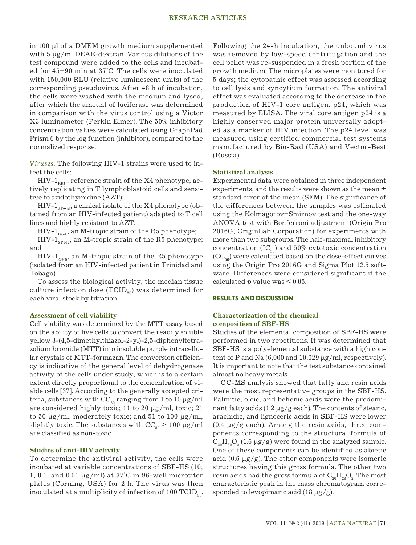## RESEARCH ARTICLES

in 100 µl of a DMEM growth medium supplemented with 5  $\mu$ g/ml DEAE-dextran. Various dilutions of the test compound were added to the cells and incubated for 45–90 min at 37°C. The cells were inoculated with 150,000 RLU (relative luminescent units) of the corresponding pseudovirus. After 48 h of incubation, the cells were washed with the medium and lysed, after which the amount of luciferase was determined in comparison with the virus control using a Victor X3 luminometer (Perkin Elmer). The 50% inhibitory concentration values were calculated using GraphPad Prism 6 by the log function (inhibitor), compared to the normalized response.

*Viruses.* The following HIV-1 strains were used to infect the cells:

 $HIV-1<sub>BRI</sub>$ , reference strain of the X4 phenotype, actively replicating in T lymphoblastoid cells and sensitive to azidothymidine (AZT);

 $HIV-1$ <sub>AR216</sub>, a clinical isolate of the X4 phenotype (obtained from an HIV-infected patient) adapted to T cell lines and highly resistant to AZT;

HIV-1 $_{Ba-I}$ , an M-tropic strain of the R5 phenotype;

HIV- $1_{\text{SFI62}}$ , an M-tropic strain of the R5 phenotype; and

HIV-1<sub>0H0</sub>, an M-tropic strain of the R5 phenotype (isolated from an HIV-infected patient in Trinidad and Tobago).

To assess the biological activity, the median tissue culture infection dose  $(TCID_{50})$  was determined for each viral stock by titration.

#### **Assessment of cell viability**

Cell viability was determined by the MTT assay based on the ability of live cells to convert the readily soluble yellow 3-(4,5-dimethylthiazol-2-yl)-2,5-diphenyltetrazolium bromide (MTT) into insoluble purple intracellular crystals of MTT-formazan. The conversion efficiency is indicative of the general level of dehydrogenase activity of the cells under study, which is to a certain extent directly proportional to the concentration of viable cells [37]. According to the generally accepted criteria, substances with  $CC_{50}$  ranging from 1 to 10  $\mu$ g/ml are considered highly toxic; 11 to 20 µg/ml, toxic; 21 to 50  $\mu$ g/ml, moderately toxic; and 51 to 100  $\mu$ g/ml, slightly toxic. The substances with  $CC_{50} > 100 \mu g/ml$ are classified as non-toxic.

#### **Studies of anti-HIV activity**

To determine the antiviral activity, the cells were incubated at variable concentrations of SBF-HS (10, 1, 0.1, and 0.01  $\mu$ g/ml) at 37°C in 96-well microtiter plates (Corning, USA) for 2 h. The virus was then inoculated at a multiplicity of infection of 100  $TCID_{50}$ . Following the 24-h incubation, the unbound virus was removed by low-speed centrifugation and the cell pellet was re-suspended in a fresh portion of the growth medium. The microplates were monitored for 5 days; the cytopathic effect was assessed according to cell lysis and syncytium formation. The antiviral effect was evaluated according to the decrease in the production of HIV-1 core antigen, p24, which was measured by ELISA. The viral core antigen p24 is a highly conserved major protein universally adopted as a marker of HIV infection. The p24 level was measured using certified commercial test systems manufactured by Bio-Rad (USA) and Vector-Best (Russia).

#### **Statistical analysis**

Experimental data were obtained in three independent experiments, and the results were shown as the mean  $\pm$ standard error of the mean (SEM). The significance of the differences between the samples was estimated using the Kolmagorov–Smirnov test and the one-way ANOVA test with Bonferroni adjustment (Origin Pro 2016G, OriginLab Corporation) for experiments with more than two subgroups. The half-maximal inhibitory concentration  $(IC_{50})$  and 50% cytotoxic concentration  $(CC_{50})$  were calculated based on the dose-effect curves using the Origin Pro 2016G and Sigma Plot 12.5 software. Differences were considered significant if the calculated  $p$  value was  $\leq 0.05$ .

#### **RESULTS AND DISCUSSION**

#### **Characterization of the chemical composition of SBF-HS**

Studies of the elemental composition of SBF-HS were performed in two repetitions. It was determined that SBF-HS is a polyelemental substance with a high content of P and Na  $(6,000$  and  $10,029 \mu g/ml$ , respectively). It is important to note that the test substance contained almost no heavy metals.

GC-MS analysis showed that fatty and resin acids were the most representative groups in the SBF-HS. Palmitic, oleic, and behenic acids were the predominant fatty acids  $(1.2 \mu g/g \text{ each})$ . The contents of stearic, arachidic, and lignoceric acids in SBF-HS were lower  $(0.4 \mu g/g$  each). Among the resin acids, three components corresponding to the structural formula of  $C_{20}H_{30}O_2$  (1.6  $\mu$ g/g) were found in the analyzed sample. One of these components can be identified as abietic acid (0.6  $\mu$ g/g). The other components were isomeric structures having this gross formula. The other two resin acids had the gross formula of  $\mathrm{C}_{\mathrm{20}}\mathrm{H}_{\mathrm{28}}\mathrm{O}_{\mathrm{2}}$ . The most characteristic peak in the mass chromatogram corresponded to levopimaric acid  $(18 \mu g/g)$ .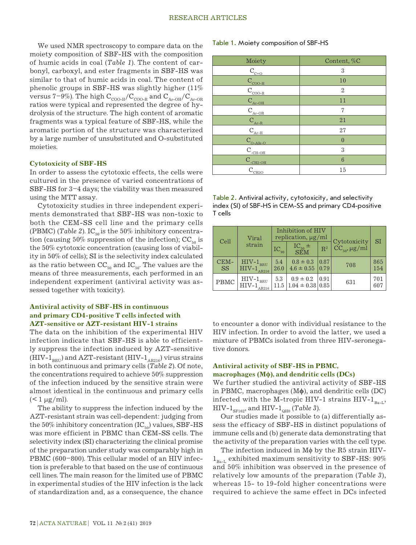We used NMR spectroscopy to compare data on the moiety composition of SBF-HS with the composition of humic acids in coal (*Table 1*). The content of carbonyl, carboxyl, and ester fragments in SBF-HS was similar to that of humic acids in coal. The content of phenolic groups in SBF-HS was slightly higher (11% versus 7–9%). The high  $\rm C_{_{COO-H}/C_{_{COO-R}}}$  and  $\rm C_{_{Ar-OH}/C_{_{Ar-OR}}}$ ratios were typical and represented the degree of hydrolysis of the structure. The high content of aromatic fragments was a typical feature of SBF-HS, while the aromatic portion of the structure was characterized by a large number of unsubstituted and O-substituted moieties.

## **Cytotoxicity of SBF-HS**

In order to assess the cytotoxic effects, the cells were cultured in the presence of varied concentrations of SBF-HS for 3–4 days; the viability was then measured using the MTT assay.

Cytotoxicity studies in three independent experiments demonstrated that SBF-HS was non-toxic to both the CEM-SS cell line and the primary cells (PBMC) (*Table 2*). IC<sub>50</sub> is the 50% inhibitory concentration (causing  $50\%$  suppression of the infection);  $CC_{50}$  is the 50% cytotoxic concentration (causing loss of viability in 50% of cells); SI is the selectivity index calculated as the ratio between  $CC_{50}$  and  $IC_{50}$ . The values are the means of three measurements, each performed in an independent experiment (antiviral activity was assessed together with toxicity).

# **Antiviral activity of SBF-HS in continuous and primary CD4-positive T cells infected with AZT-sensitive or AZT-resistant HIV-1 strains**

The data on the inhibition of the experimental HIV infection indicate that SBF-HS is able to efficiently suppress the infection induced by AZT-sensitive (HIV- $1_{\text{BRU}}$ ) and AZT-resistant (HIV- $1_{\text{AR216}}$ ) virus strains in both continuous and primary cells (*Table 2*). Of note, the concentrations required to achieve 50% suppression of the infection induced by the sensitive strain were almost identical in the continuous and primary cells  $(< 1 \mu g/ml$ ).

The ability to suppress the infection induced by the AZT-resistant strain was cell-dependent: judging from the 50% inhibitory concentration  $(IC_{50})$  values, SBF-HS was more efficient in PBMC than CEM-SS cells. The selectivity index (SI) characterizing the clinical promise of the preparation under study was comparably high in PBMC (600–800). This cellular model of an HIV infection is preferable to that based on the use of continuous cell lines. The main reason for the limited use of PBMC in experimental studies of the HIV infection is the lack of standardization and, as a consequence, the chance

#### Table 1. Moiety composition of SBF-HS

| Moiety                               | Content, %C    |
|--------------------------------------|----------------|
|                                      | 3              |
| $\frac{C_{C=0}}{C_{\rm{COO-H}}}$     | 10             |
| $C_{\text{COO-R}}$                   | $\overline{2}$ |
| $C_{Ar-OH}$                          | 11             |
| $\mathcal{C}_{\textsc{Ar-OR}}$       | 7              |
| $\mathbf{C}_{\text{\tiny{Ar-R}}}$    | 21             |
| $C_{Ar-H}$                           | 27             |
| $C_{_{O-A{\rm lk}-O}}$               | $\overline{0}$ |
| $\mathcal{C}_{\text{\tiny -CH-OH}}$  | 3              |
| $C_{\text{\tiny{CH2-OH}}}$           | 6              |
| $\text{C}_{\underline{\text{CH3O}}}$ | 15             |

| Table 2. Antiviral activity, cytotoxicity, and selectivity |
|------------------------------------------------------------|
| index (SI) of SBF-HS in CEM-SS and primary CD4-positive    |
| T cells                                                    |

| Cell              | Viral                                                                            | Inhibition of HIV<br>replication, $\mu$ g/ml |                                                |                |                                   |            |
|-------------------|----------------------------------------------------------------------------------|----------------------------------------------|------------------------------------------------|----------------|-----------------------------------|------------|
|                   | strain                                                                           | $IC_{90}$                                    | $IC_{50}$ $\pm$<br>SEM                         | $\mathbb{R}^2$ | Cytotoxicity<br>$CC_{50}$ , µg/ml | SI         |
| CEM-<br><b>SS</b> | $\mathrm{HIV\text{-}1}_{\mathrm{BRU}} \\ \mathrm{HIV\text{-}1}_{\mathrm{AR216}}$ | 5.4<br>26.0                                  | $0.8 \pm 0.3$<br>$4.6 \pm 0.55$ 0.79           | 0.87           | 708                               | 865<br>154 |
| PBMC              | $\rm{HIV\text{-}1}_{\rm{BRU}}$<br>$HIV-1$                                        | 5.3                                          | $0.9 \pm 0.2$<br>$11.5   1.04 \pm 0.38   0.85$ | $\mid 0.91$    | 631                               | 701<br>607 |

to encounter a donor with individual resistance to the HIV infection. In order to avoid the latter, we used a mixture of PBMCs isolated from three HIV-seronegative donors.

# **Antiviral activity of SBF-HS in PBMC, macrophages (Mϕ), and dendritic cells (DCs)**

# We further studied the antiviral activity of SBF-HS

in PBMC, macrophages (M**ϕ**), and dendritic cells (DC) infected with the M-tropic HIV-1 strains HIV-1 $_{B_2}$ , HIV-1<sub>SF162</sub>, and HIV-1<sub>OH0</sub> (*Table 3*).

Our studies made it possible to (a) differentially assess the efficacy of SBF-HS in distinct populations of immune cells and (b) generate data demonstrating that the activity of the preparation varies with the cell type.

The infection induced in Mϕ by the R5 strain HIV- $1_{\text{Ba-I}}$  exhibited maximum sensitivity to SBF-HS: 90% and 50% inhibition was observed in the presence of relatively low amounts of the preparation (*Table 3*), whereas 15- to 19-fold higher concentrations were required to achieve the same effect in DCs infected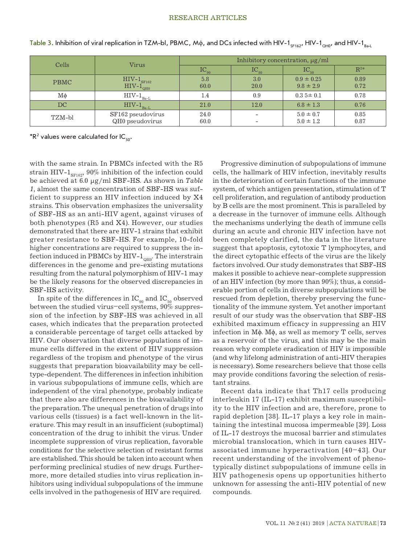#### RESEARCH ARTICLES

| Cells       | Virus                                                        | Inhibitory concentration, $\mu$ g/ml |                          |                                 |              |
|-------------|--------------------------------------------------------------|--------------------------------------|--------------------------|---------------------------------|--------------|
|             |                                                              | $IC_{90}$                            | $\mathrm{IC}_{_{80}}$    | $IC_{50}$                       | $R^{2*}$     |
| <b>PBMC</b> | $\text{HIV-1}_{\text{SF}162}$<br>$\text{HIV-1}_{\text{QHO}}$ | 5.8<br>60.0                          | 3.0<br>20.0              | $0.9 \pm 0.25$<br>$9.8 \pm 2.9$ | 0.89<br>0.72 |
| Mф          | $HIV-1$ <sub>Ba-L</sub>                                      | 1.4                                  | 0.9                      | $0.35 \pm 0.1$                  | 0.78         |
| DC          | $HIV-1$ <sub>Ba-L</sub>                                      | 21.0                                 | 12.0                     | $6.8 \pm 1.3$                   | 0.76         |
| TZM-bl      | SF162 pseudovirus<br>QH0 pseudovirus                         | 24.0<br>60.0                         | $\overline{\phantom{0}}$ | $5.0 \pm 0.7$<br>$5.0 \pm 1.2$  | 0.85<br>0.87 |

Table 3. Inhibition of viral replication in TZM-bl, PBMC, M $\phi$ , and DCs infected with HIV-1<sub>SF162</sub>, HIV-1<sub>OH0</sub>, and HIV-1<sub>Bad</sub>

 $*{\sf R}^2$  values were calculated for IC  $_{\sf 50}.$ 

with the same strain. In PBMCs infected with the R5 strain HIV- $1_{\text{SFI62}}$ , 90% inhibition of the infection could be achieved at 6.0 µg/ml SBF-HS. As shown in *Table 1*, almost the same concentration of SBF-HS was sufficient to suppress an HIV infection induced by X4 strains. This observation emphasizes the universality of SBF-HS as an anti-HIV agent, against viruses of both phenotypes (R5 and X4). However, our studies demonstrated that there are HIV-1 strains that exhibit greater resistance to SBF-HS. For example, 10-fold higher concentrations are required to suppress the infection induced in PBMCs by HIV- $1_{\text{OHO}}$ . The interstrain differences in the genome and pre-existing mutations resulting from the natural polymorphism of HIV-1 may be the likely reasons for the observed discrepancies in SBF-HS activity.

In spite of the differences in  $IC_{90}$  and  $IC_{50}$  observed between the studied virus–cell systems, 90% suppression of the infection by SBF-HS was achieved in all cases, which indicates that the preparation protected a considerable percentage of target cells attacked by HIV. Our observation that diverse populations of immune cells differed in the extent of HIV suppression regardless of the tropism and phenotype of the virus suggests that preparation bioavailability may be celltype-dependent. The differences in infection inhibition in various subpopulations of immune cells, which are independent of the viral phenotype, probably indicate that there also are differences in the bioavailability of the preparation. The unequal penetration of drugs into various cells (tissues) is a fact well-known in the literature. This may result in an insufficient (suboptimal) concentration of the drug to inhibit the virus. Under incomplete suppression of virus replication, favorable conditions for the selective selection of resistant forms are established. This should be taken into account when performing preclinical studies of new drugs. Furthermore, more detailed studies into virus replication inhibitors using individual subpopulations of the immune cells involved in the pathogenesis of HIV are required.

Progressive diminution of subpopulations of immune cells, the hallmark of HIV infection, inevitably results in the deterioration of certain functions of the immune system, of which antigen presentation, stimulation of T cell proliferation, and regulation of antibody production by B cells are the most prominent. This is paralleled by a decrease in the turnover of immune cells. Although the mechanisms underlying the death of immune cells during an acute and chronic HIV infection have not been completely clarified, the data in the literature suggest that apoptosis, cytotoxic T lymphocytes, and the direct cytopathic effects of the virus are the likely factors involved. Our study demonstrates that SBF-HS makes it possible to achieve near-complete suppression of an HIV infection (by more than 90%); thus, a considerable portion of cells in diverse subpopulations will be rescued from depletion, thereby preserving the functionality of the immune system. Yet another important result of our study was the observation that SBF-HS exhibited maximum efficacy in suppressing an HIV infection in Mϕ. Mϕ, as well as memory T cells, serves as a reservoir of the virus, and this may be the main reason why complete eradication of HIV is impossible (and why lifelong administration of anti-HIV therapies is necessary). Some researchers believe that those cells may provide conditions favoring the selection of resistant strains.

Recent data indicate that Th17 cells producing interleukin 17 (IL-17) exhibit maximum susceptibility to the HIV infection and are, therefore, prone to rapid depletion [38]. IL-17 plays a key role in maintaining the intestinal mucosa impermeable [39]. Loss of IL-17 destroys the mucosal barrier and stimulates microbial translocation, which in turn causes HIVassociated immune hyperactivation [40–43]. Our recent understanding of the involvement of phenotypically distinct subpopulations of immune cells in HIV pathogenesis opens up opportunities hitherto unknown for assessing the anti-HIV potential of new compounds.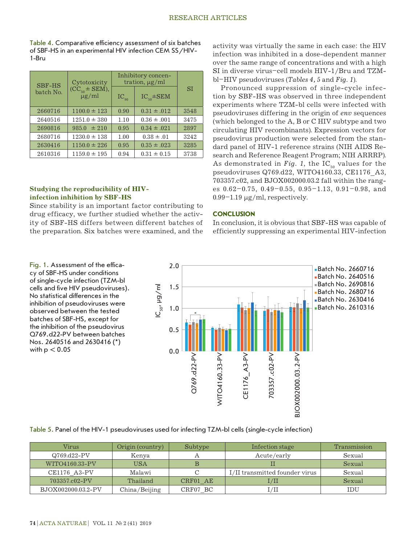Table 4. Comparative efficiency assessment of six batches of SBF-HS in an experimental HIV infection CEM SS/HIV-1-Bru

| <b>SBF-HS</b><br>batch No. | Cytotoxicity                       | Inhibitory concen-<br>tration, $\mu$ g/ml |                   |      |
|----------------------------|------------------------------------|-------------------------------------------|-------------------|------|
|                            | $(CC_{50} \pm SEM),$<br>$\mu$ g/ml | $IC_{q_0}$                                | $IC_{50} \pm SEM$ | SI   |
| 2660716                    | $1100.0 \pm 123$                   | 0.90                                      | $0.31 \pm .012$   | 3548 |
| 2640516                    | $1251.0 \pm 380$                   | 1.10                                      | $0.36 \pm .001$   | 3475 |
| 2690816                    | $985.0 \pm 210$                    | 0.95                                      | $0.34 \pm .021$   | 2897 |
| 2680716                    | $1230.0 \pm 138$                   | 1.00                                      | $0.38 \pm .01$    | 3242 |
| 2630416                    | $1150.0 \pm 226$                   | 0.95                                      | $0.35 \pm .023$   | 3285 |
| 2610316                    | $1159.0 \pm 195$                   | 0.94                                      | $0.31 \pm 0.15$   | 3738 |

# **Studying the reproducibility of HIVinfection inhibition by SBF-HS**

Since stability is an important factor contributing to drug efficacy, we further studied whether the activity of SBF-HS differs between different batches of the preparation. Six batches were examined, and the

Fig. 1. Assessment of the efficacy of SBF-HS under conditions of single-cycle infection (TZM-bl cells and five HIV pseudoviruses). No statistical differences in the inhibition of pseudoviruses were observed between the tested batches of SBF-HS, except for the inhibition of the pseudovirus Q769.d22-PV between batches Nos. 2640516 and 2630416 (\*) with  $p < 0.05$ 

activity was virtually the same in each case: the HIV infection was inhibited in a dose-dependent manner over the same range of concentrations and with a high SI in diverse virus–cell models HIV-1/Bru and TZMbl–HIV pseudoviruses (*Tables 4, 5* and *Fig. 1*).

Pronounced suppression of single-cycle infection by SBF-HS was observed in three independent experiments where TZM-bl cells were infected with pseudoviruses differing in the origin of *env* sequences (which belonged to the A, B or C HIV subtype and two circulating HIV recombinants). Expression vectors for pseudovirus production were selected from the standard panel of HIV-1 reference strains (NIH AIDS Research and Reference Reagent Program; NIH ARRRP). As demonstrated in *Fig. 1*, the  $IC_{50}$  values for the pseudoviruses Q769.d22, WITO4160.33, CE1176\_A3, 703357.c02, and BJOX002000.03.2 fall within the ranges 0.62–0.75, 0.49–0.55, 0.95–1.13, 0.91–0.98, and  $0.99-1.19 \mu g/ml$ , respectively.

# **CONCLUSION**

In conclusion, it is obvious that SBF-HS was capable of efficiently suppressing an experimental HIV-infection



Table 5. Panel of the HIV-1 pseudoviruses used for infecting TZM-bl cells (single-cycle infection)

| Virus              | Origin (country) | Subtype  | Infection stage                | Transmission |
|--------------------|------------------|----------|--------------------------------|--------------|
| $Q769.d22-PV$      | Kenya            |          | Acute/early                    | Sexual       |
| WITO4160.33-PV     | <b>USA</b>       |          |                                | Sexual       |
| CE1176 A3-PV       | Malawi           |          | I/II transmitted founder virus | Sexual       |
| 703357.c02-PV      | Thailand         | CRF01 AE | $_{\rm I/II}$                  | Sexual       |
| BJOX002000.03.2-PV | China/Beijing    | CRF07 BC |                                | IDU          |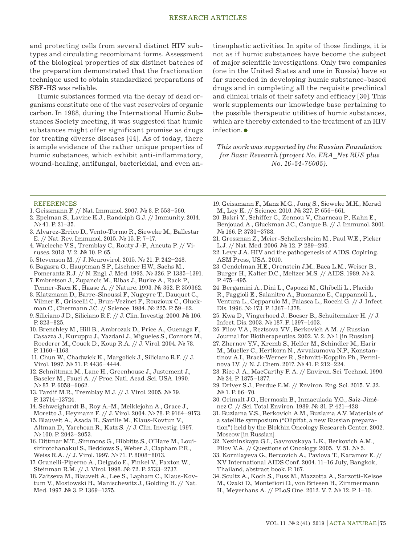### RESEARCH ARTICLES

and protecting cells from several distinct HIV subtypes and circulating recombinant forms. Assessment of the biological properties of six distinct batches of the preparation demonstrated that the fractionation technique used to obtain standardized preparations of SBF-HS was reliable.

Humic substances formed via the decay of dead organisms constitute one of the vast reservoirs of organic carbon. In 1988, during the International Humic Substances Society meeting, it was suggested that humic substances might offer significant promise as drugs for treating diverse diseases [44]. As of today, there is ample evidence of the rather unique properties of humic substances, which exhibit anti-inflammatory, wound-healing, antifungal, bactericidal, and even antineoplastic activities. In spite of those findings, it is not as if humic substances have become the subject of major scientific investigations. Only two companies (one in the United States and one in Russia) have so far succeeded in developing humic substance-based drugs and in completing all the requisite preclinical and clinical trials of their safety and efficacy [30]. This work supplements our knowledge base pertaining to the possible therapeutic utilities of humic substances, which are thereby extended to the treatment of an HIV infection.

*This work was supported by the Russian Foundation for Basic Research (project No. ERA\_Net RUS plus No. 16-54-76005).*

#### **REFERENCES**

- 1. Geissmann F. // Nat. Immunol. 2007. № 8. Р. 558–560.
- 2. Epelman S., Lavine K.J., Randolph G.J. // Immunity. 2014. № 41. Р. 21–35.
- 3. Alvarez-Errico D., Vento-Tormo R., Sieweke M., Ballestar E. // Nat. Rev. Immunol. 2015. № 15. Р. 7–17.
- 4. Wacleche V.S., Tremblay C., Routy J.-P., Ancuta P. // Viruses. 2018. V. 2. № 10. Р. 65.
- 5. Stevenson M. // J. Neurovirol. 2015. № 21. Р. 242–248.
- 6. Bagasra O., Hauptman S.P., Lischner H.W., Sachs M.,
- Pomerantz R.J. // N. Engl. J. Med. 1992. № 326. Р. 1385–1391. 7. Embretson J., Zupancic M., Ribas J., Burke A., Rack P.,
- Tenner-Racz K., Haase A. // Nature. 1993. № 362. Р. 359362. 8. Klatzmann D., Barre-Sinoussi F., Nugeyre T., Dauquet C.,
- Vilmer E., Griscelli C., Brun-Vezinet F., Rouzioux C., Gluckman C., Chermann J.C. // Science. 1984. № 225. Р. 59–62.
- 9. Siliciano J.D., Siliciano R.F. // J. Clin. Investig. 2000. № 106. Р. 823–825.
- 10. Brenchley M., Hill B., Ambrozak D., Price A., Guenaga F., Casazza J., Kuruppu J., Yazdani J., Migueles S., Connors M., Roederer M., Couek D., Koup R.A. // J. Virol. 2004. № 78. Р. 1160–1168.
- 11. Chun W., Chadwick K., Margolick J., Siliciano R.F. // J. Virol. 1997. № 71. Р. 4436–4444.
- 12. Schnittman M., Lane H., Greenhouse J., Justement J., Baseler M., Fauci A. // Proc. Natl. Acad. Sci. USA. 1990. № 87. Р. 6058–6062.
- 13. Tardif M.R., Tremblay M.J. // J. Virol. 2005. № 79. Р. 13714–13724.
- 14. Schweighardt B., Roy A.-M., Meiklejohn A., Grace J., Moretto J., Heymann F. // J. Virol. 2004. № 78. Р. 9164–9173.
- 15. Blauvelt A., Asada H., Saville M., Klaus-Kovtun V., Altman D., Yarchoan R., Katz S. // J. Clin. Investig. 1997. № 100. Р. 2043–2053.
- 16. Dittmar M.T., Simmons G., Hibbitts S., O'Hare M., Louisirirotchanakul S., Beddows S., Weber J., Clapham P.R., Weiss R.A. // J. Virol. 1997. № 71. Р. 8008–8013.
- 17. Granelli-Piperno A., Delgado E., Finkel V., Paxton W., Steinman R.M. // J. Virol. 1998. № 72. Р. 2733–2737.
- 18. Zaitseva M., Blauvelt A., Lee S., Lapham C., Klaus-Kovtum V., Mostowski H., Manischewitz J., Golding H. // Nat. Med. 1997. № 3. Р. 1369–1375.
- 19. Geissmann F., Manz M.G., Jung S., Sieweke M.H., Merad M., Ley K. // Science. 2010. № 327. Р. 656–661.
- 20. Bakri Y., Schiffer C., Zennou V., Charneau P., Kahn E., Benjouad A., Gluckman J.C., Canque B. // J. Immunol. 2001. № 166. Р. 3780–3788.
- 21. Grossman Z., Meier-Schellersheim M., Paul W.E., Picker L.J. // Nat. Med. 2006. № 12. Р. 289–295.
- 22. Levy J.A. HIV and the pathogenesis of AIDS. Copiring. ASM Press, USA. 2010.
- 23. Gendelman H.E., Orenstein J.M., Baca L.M., Weiser B., Burger H., Kalter D.C., Meltzer M.S. // AIDS. 1989. № 3. Р. 475–495.
- 24. Bergamini A., Dini L., Capozzi M., Ghibelli L., Placido R., Faggioli E., Salanitro A., Buonanno E., Cappannoli L., Ventura L., Cepparulo M., Falasca L., Rocchi G. // J. Infect. Dis. 1996. № 173. Р. 1367–1378.
- 25. Kwa D., Vingerhoed J., Boeser B., Schuitemaker H. // J. Infect. Dis. 2003. № 187. Р. 1397–1403.
- 26. Filov V.A., Reztsova V.V., Berkovich A.M. // Russian Journal for Biotherapeutics. 2002. V. 2. № 1 [in Russian].
- 27. Zhernov Y.V., Kremb S., Helfer M., Schindler M., Harir M., Mueller C., Hertkorn N., Avvakumova N.P., Konstantinov A.I., Brack-Werner R., Schmitt-Kopplin Ph., Perminova I.V. // N. J. Chem. 2017. № 41. Р. 212–224.
- 28. Rice J. A., MacCarthy P. A. // Environ. Sci. Technol. 1990. № 24. Р. 1875–1877.
- 29. Driver S.J., Perdue E.M. // Environ. Eng. Sci. 2015. V. 32. № 1. Р. 66–70.
- 30. Grimalt J.O., Hermosín B., Inmaculada Y.G., Saiz-Jiménez C. // Sci. Total Environ. 1989. № 81. Р. 421–428
- 31. Buzlama V.S., Berkovich A.M., Buzlama A.V. Materials of a satellite symposium ("Olipifat, a new Russian preparation") held by the Blokhin Oncology Research Center. 2002. Moscow [in Russian].
- 32. Nezhinskaya G.I., Gavrovskaya L.K., Berkovich A.M., Filov V.A. // Questions of Oncology. 2005. V. 51.  $\mathbb{N}_2$  5.
- 33. Kornilayeva G., Bercovich A., Pavlova T., Karamov E. // XV International AIDS Conf. 2004. 11–16 July, Bangkok, Thailand, abstract book. Р. 167.
- 34. Scultz A., Koch S., Fuss M., Mazzotta A., Sarzotti-Kelsoe M., Ozaki D., Montefiori D., von Briesen H., Zimmermann H., Meyerhans A. // PLoS One. 2012. V. 7. № 12. P. 1–10.